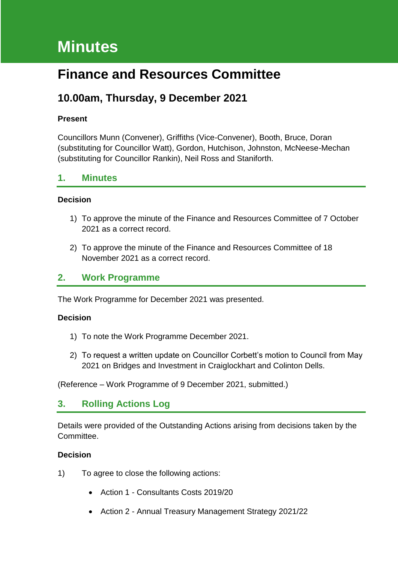# **Minutes**

## **Finance and Resources Committee**

### **10.00am, Thursday, 9 December 2021**

#### **Present**

Councillors Munn (Convener), Griffiths (Vice-Convener), Booth, Bruce, Doran (substituting for Councillor Watt), Gordon, Hutchison, Johnston, McNeese-Mechan (substituting for Councillor Rankin), Neil Ross and Staniforth.

### **1. Minutes**

#### **Decision**

- 1) To approve the minute of the Finance and Resources Committee of 7 October 2021 as a correct record.
- 2) To approve the minute of the Finance and Resources Committee of 18 November 2021 as a correct record.

### **2. Work Programme**

The Work Programme for December 2021 was presented.

#### **Decision**

- 1) To note the Work Programme December 2021.
- 2) To request a written update on Councillor Corbett's motion to Council from May 2021 on Bridges and Investment in Craiglockhart and Colinton Dells.

(Reference – Work Programme of 9 December 2021, submitted.)

### **3. Rolling Actions Log**

Details were provided of the Outstanding Actions arising from decisions taken by the Committee.

#### **Decision**

- 1) To agree to close the following actions:
	- Action 1 Consultants Costs 2019/20
	- Action 2 Annual Treasury Management Strategy 2021/22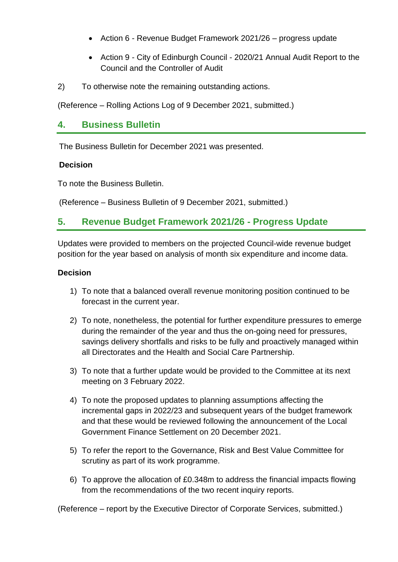- Action 6 Revenue Budget Framework 2021/26 progress update
- Action 9 City of Edinburgh Council 2020/21 Annual Audit Report to the Council and the Controller of Audit
- 2) To otherwise note the remaining outstanding actions.

(Reference – Rolling Actions Log of 9 December 2021, submitted.)

### **4. Business Bulletin**

The Business Bulletin for December 2021 was presented.

#### **Decision**

To note the Business Bulletin.

(Reference – Business Bulletin of 9 December 2021, submitted.)

### **5. Revenue Budget Framework 2021/26 - Progress Update**

Updates were provided to members on the projected Council-wide revenue budget position for the year based on analysis of month six expenditure and income data.

#### **Decision**

- 1) To note that a balanced overall revenue monitoring position continued to be forecast in the current year.
- 2) To note, nonetheless, the potential for further expenditure pressures to emerge during the remainder of the year and thus the on-going need for pressures, savings delivery shortfalls and risks to be fully and proactively managed within all Directorates and the Health and Social Care Partnership.
- 3) To note that a further update would be provided to the Committee at its next meeting on 3 February 2022.
- 4) To note the proposed updates to planning assumptions affecting the incremental gaps in 2022/23 and subsequent years of the budget framework and that these would be reviewed following the announcement of the Local Government Finance Settlement on 20 December 2021.
- 5) To refer the report to the Governance, Risk and Best Value Committee for scrutiny as part of its work programme.
- 6) To approve the allocation of £0.348m to address the financial impacts flowing from the recommendations of the two recent inquiry reports.

(Reference – report by the Executive Director of Corporate Services, submitted.)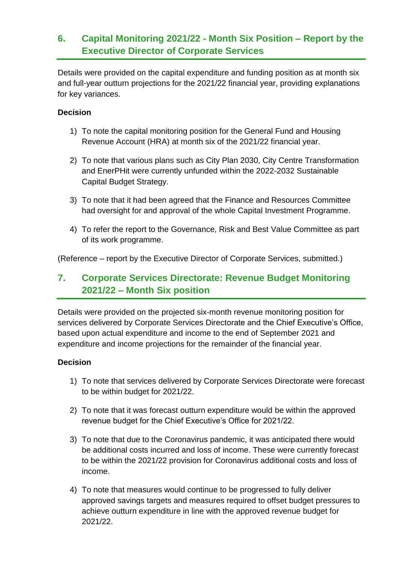### **6. Capital Monitoring 2021/22 - Month Six Position – Report by the Executive Director of Corporate Services**

Details were provided on the capital expenditure and funding position as at month six and full-year outturn projections for the 2021/22 financial year, providing explanations for key variances.

#### **Decision**

- 1) To note the capital monitoring position for the General Fund and Housing Revenue Account (HRA) at month six of the 2021/22 financial year.
- 2) To note that various plans such as City Plan 2030, City Centre Transformation and EnerPHit were currently unfunded within the 2022-2032 Sustainable Capital Budget Strategy.
- 3) To note that it had been agreed that the Finance and Resources Committee had oversight for and approval of the whole Capital Investment Programme.
- 4) To refer the report to the Governance, Risk and Best Value Committee as part of its work programme.

(Reference – report by the Executive Director of Corporate Services, submitted.)

### **7. Corporate Services Directorate: Revenue Budget Monitoring 2021/22 – Month Six position**

Details were provided on the projected six-month revenue monitoring position for services delivered by Corporate Services Directorate and the Chief Executive's Office, based upon actual expenditure and income to the end of September 2021 and expenditure and income projections for the remainder of the financial year.

#### **Decision**

- 1) To note that services delivered by Corporate Services Directorate were forecast to be within budget for 2021/22.
- 2) To note that it was forecast outturn expenditure would be within the approved revenue budget for the Chief Executive's Office for 2021/22.
- 3) To note that due to the Coronavirus pandemic, it was anticipated there would be additional costs incurred and loss of income. These were currently forecast to be within the 2021/22 provision for Coronavirus additional costs and loss of income.
- 4) To note that measures would continue to be progressed to fully deliver approved savings targets and measures required to offset budget pressures to achieve outturn expenditure in line with the approved revenue budget for 2021/22.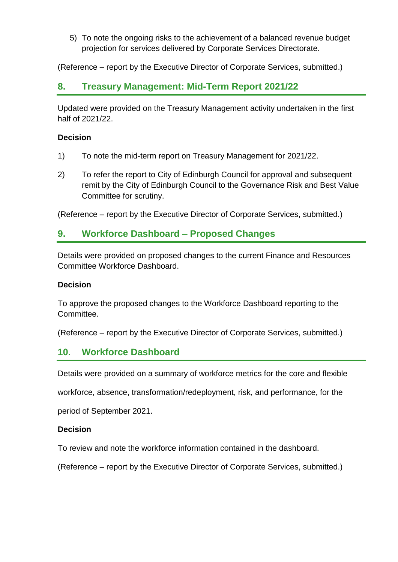5) To note the ongoing risks to the achievement of a balanced revenue budget projection for services delivered by Corporate Services Directorate.

(Reference – report by the Executive Director of Corporate Services, submitted.)

### **8. Treasury Management: Mid-Term Report 2021/22**

Updated were provided on the Treasury Management activity undertaken in the first half of 2021/22.

#### **Decision**

- 1) To note the mid-term report on Treasury Management for 2021/22.
- 2) To refer the report to City of Edinburgh Council for approval and subsequent remit by the City of Edinburgh Council to the Governance Risk and Best Value Committee for scrutiny.

(Reference – report by the Executive Director of Corporate Services, submitted.)

### **9. Workforce Dashboard – Proposed Changes**

Details were provided on proposed changes to the current Finance and Resources Committee Workforce Dashboard.

#### **Decision**

To approve the proposed changes to the Workforce Dashboard reporting to the Committee.

(Reference – report by the Executive Director of Corporate Services, submitted.)

### **10. Workforce Dashboard**

Details were provided on a summary of workforce metrics for the core and flexible

workforce, absence, transformation/redeployment, risk, and performance, for the

period of September 2021.

#### **Decision**

To review and note the workforce information contained in the dashboard.

(Reference – report by the Executive Director of Corporate Services, submitted.)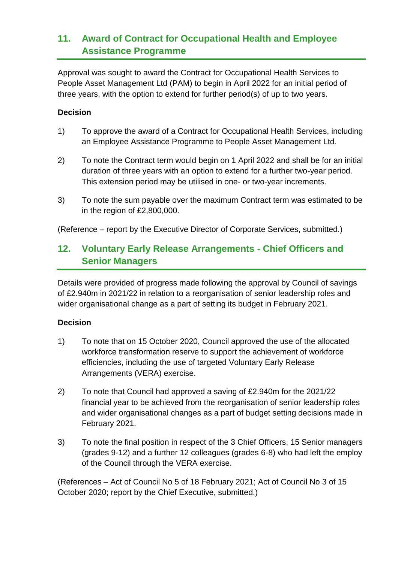### **11. Award of Contract for Occupational Health and Employee Assistance Programme**

Approval was sought to award the Contract for Occupational Health Services to People Asset Management Ltd (PAM) to begin in April 2022 for an initial period of three years, with the option to extend for further period(s) of up to two years.

#### **Decision**

- 1) To approve the award of a Contract for Occupational Health Services, including an Employee Assistance Programme to People Asset Management Ltd.
- 2) To note the Contract term would begin on 1 April 2022 and shall be for an initial duration of three years with an option to extend for a further two-year period. This extension period may be utilised in one- or two-year increments.
- 3) To note the sum payable over the maximum Contract term was estimated to be in the region of £2,800,000.

(Reference – report by the Executive Director of Corporate Services, submitted.)

### **12. Voluntary Early Release Arrangements - Chief Officers and Senior Managers**

Details were provided of progress made following the approval by Council of savings of £2.940m in 2021/22 in relation to a reorganisation of senior leadership roles and wider organisational change as a part of setting its budget in February 2021.

#### **Decision**

- 1) To note that on 15 October 2020, Council approved the use of the allocated workforce transformation reserve to support the achievement of workforce efficiencies, including the use of targeted Voluntary Early Release Arrangements (VERA) exercise.
- 2) To note that Council had approved a saving of £2.940m for the 2021/22 financial year to be achieved from the reorganisation of senior leadership roles and wider organisational changes as a part of budget setting decisions made in February 2021.
- 3) To note the final position in respect of the 3 Chief Officers, 15 Senior managers (grades 9-12) and a further 12 colleagues (grades 6-8) who had left the employ of the Council through the VERA exercise.

(References – Act of Council No 5 of 18 February 2021; Act of Council No 3 of 15 October 2020; report by the Chief Executive, submitted.)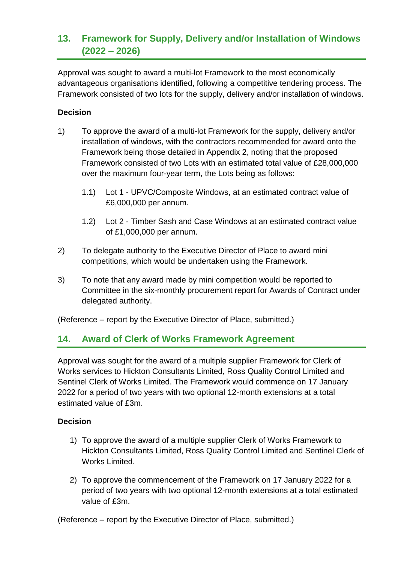### **13. Framework for Supply, Delivery and/or Installation of Windows (2022 – 2026)**

Approval was sought to award a multi-lot Framework to the most economically advantageous organisations identified, following a competitive tendering process. The Framework consisted of two lots for the supply, delivery and/or installation of windows.

#### **Decision**

- 1) To approve the award of a multi-lot Framework for the supply, delivery and/or installation of windows, with the contractors recommended for award onto the Framework being those detailed in Appendix 2, noting that the proposed Framework consisted of two Lots with an estimated total value of £28,000,000 over the maximum four-year term, the Lots being as follows:
	- 1.1) Lot 1 UPVC/Composite Windows, at an estimated contract value of £6,000,000 per annum.
	- 1.2) Lot 2 Timber Sash and Case Windows at an estimated contract value of £1,000,000 per annum.
- 2) To delegate authority to the Executive Director of Place to award mini competitions, which would be undertaken using the Framework.
- 3) To note that any award made by mini competition would be reported to Committee in the six-monthly procurement report for Awards of Contract under delegated authority.

(Reference – report by the Executive Director of Place, submitted.)

### **14. Award of Clerk of Works Framework Agreement**

Approval was sought for the award of a multiple supplier Framework for Clerk of Works services to Hickton Consultants Limited, Ross Quality Control Limited and Sentinel Clerk of Works Limited. The Framework would commence on 17 January 2022 for a period of two years with two optional 12-month extensions at a total estimated value of £3m.

#### **Decision**

- 1) To approve the award of a multiple supplier Clerk of Works Framework to Hickton Consultants Limited, Ross Quality Control Limited and Sentinel Clerk of Works Limited.
- 2) To approve the commencement of the Framework on 17 January 2022 for a period of two years with two optional 12-month extensions at a total estimated value of £3m.

(Reference – report by the Executive Director of Place, submitted.)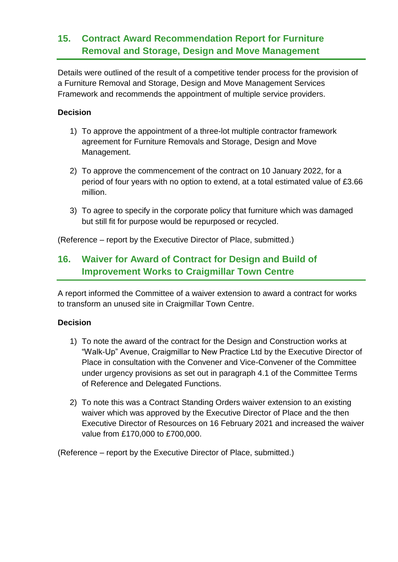### **15. Contract Award Recommendation Report for Furniture Removal and Storage, Design and Move Management**

Details were outlined of the result of a competitive tender process for the provision of a Furniture Removal and Storage, Design and Move Management Services Framework and recommends the appointment of multiple service providers.

#### **Decision**

- 1) To approve the appointment of a three-lot multiple contractor framework agreement for Furniture Removals and Storage, Design and Move Management.
- 2) To approve the commencement of the contract on 10 January 2022, for a period of four years with no option to extend, at a total estimated value of £3.66 million.
- 3) To agree to specify in the corporate policy that furniture which was damaged but still fit for purpose would be repurposed or recycled.

(Reference – report by the Executive Director of Place, submitted.)

### **16. Waiver for Award of Contract for Design and Build of Improvement Works to Craigmillar Town Centre**

A report informed the Committee of a waiver extension to award a contract for works to transform an unused site in Craigmillar Town Centre.

#### **Decision**

- 1) To note the award of the contract for the Design and Construction works at "Walk-Up" Avenue, Craigmillar to New Practice Ltd by the Executive Director of Place in consultation with the Convener and Vice-Convener of the Committee under urgency provisions as set out in paragraph 4.1 of the Committee Terms of Reference and Delegated Functions.
- 2) To note this was a Contract Standing Orders waiver extension to an existing waiver which was approved by the Executive Director of Place and the then Executive Director of Resources on 16 February 2021 and increased the waiver value from £170,000 to £700,000.

(Reference – report by the Executive Director of Place, submitted.)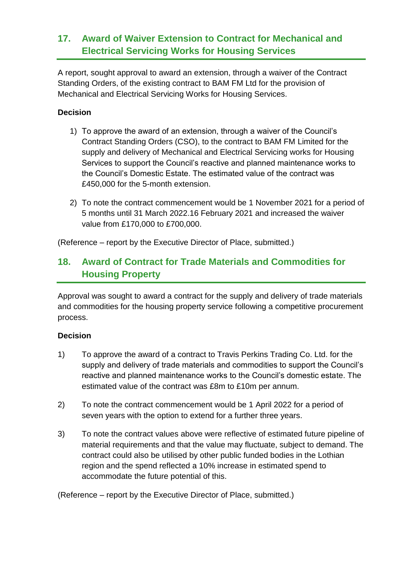### **17. Award of Waiver Extension to Contract for Mechanical and Electrical Servicing Works for Housing Services**

A report, sought approval to award an extension, through a waiver of the Contract Standing Orders, of the existing contract to BAM FM Ltd for the provision of Mechanical and Electrical Servicing Works for Housing Services.

#### **Decision**

- 1) To approve the award of an extension, through a waiver of the Council's Contract Standing Orders (CSO), to the contract to BAM FM Limited for the supply and delivery of Mechanical and Electrical Servicing works for Housing Services to support the Council's reactive and planned maintenance works to the Council's Domestic Estate. The estimated value of the contract was £450,000 for the 5-month extension.
- 2) To note the contract commencement would be 1 November 2021 for a period of 5 months until 31 March 2022.16 February 2021 and increased the waiver value from £170,000 to £700,000.

(Reference – report by the Executive Director of Place, submitted.)

### **18. Award of Contract for Trade Materials and Commodities for Housing Property**

Approval was sought to award a contract for the supply and delivery of trade materials and commodities for the housing property service following a competitive procurement process.

#### **Decision**

- 1) To approve the award of a contract to Travis Perkins Trading Co. Ltd. for the supply and delivery of trade materials and commodities to support the Council's reactive and planned maintenance works to the Council's domestic estate. The estimated value of the contract was £8m to £10m per annum.
- 2) To note the contract commencement would be 1 April 2022 for a period of seven years with the option to extend for a further three years.
- 3) To note the contract values above were reflective of estimated future pipeline of material requirements and that the value may fluctuate, subject to demand. The contract could also be utilised by other public funded bodies in the Lothian region and the spend reflected a 10% increase in estimated spend to accommodate the future potential of this.

(Reference – report by the Executive Director of Place, submitted.)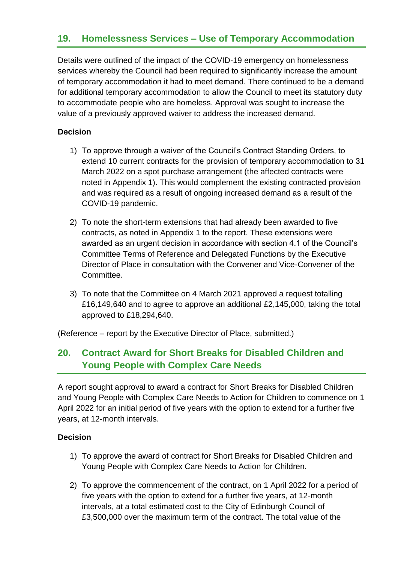### **19. Homelessness Services – Use of Temporary Accommodation**

Details were outlined of the impact of the COVID-19 emergency on homelessness services whereby the Council had been required to significantly increase the amount of temporary accommodation it had to meet demand. There continued to be a demand for additional temporary accommodation to allow the Council to meet its statutory duty to accommodate people who are homeless. Approval was sought to increase the value of a previously approved waiver to address the increased demand.

#### **Decision**

- 1) To approve through a waiver of the Council's Contract Standing Orders, to extend 10 current contracts for the provision of temporary accommodation to 31 March 2022 on a spot purchase arrangement (the affected contracts were noted in Appendix 1). This would complement the existing contracted provision and was required as a result of ongoing increased demand as a result of the COVID-19 pandemic.
- 2) To note the short-term extensions that had already been awarded to five contracts, as noted in Appendix 1 to the report. These extensions were awarded as an urgent decision in accordance with section 4.1 of the Council's Committee Terms of Reference and Delegated Functions by the Executive Director of Place in consultation with the Convener and Vice-Convener of the Committee.
- 3) To note that the Committee on 4 March 2021 approved a request totalling £16,149,640 and to agree to approve an additional £2,145,000, taking the total approved to £18,294,640.

(Reference – report by the Executive Director of Place, submitted.)

### **20. Contract Award for Short Breaks for Disabled Children and Young People with Complex Care Needs**

A report sought approval to award a contract for Short Breaks for Disabled Children and Young People with Complex Care Needs to Action for Children to commence on 1 April 2022 for an initial period of five years with the option to extend for a further five years, at 12-month intervals.

#### **Decision**

- 1) To approve the award of contract for Short Breaks for Disabled Children and Young People with Complex Care Needs to Action for Children.
- 2) To approve the commencement of the contract, on 1 April 2022 for a period of five years with the option to extend for a further five years, at 12-month intervals, at a total estimated cost to the City of Edinburgh Council of £3,500,000 over the maximum term of the contract. The total value of the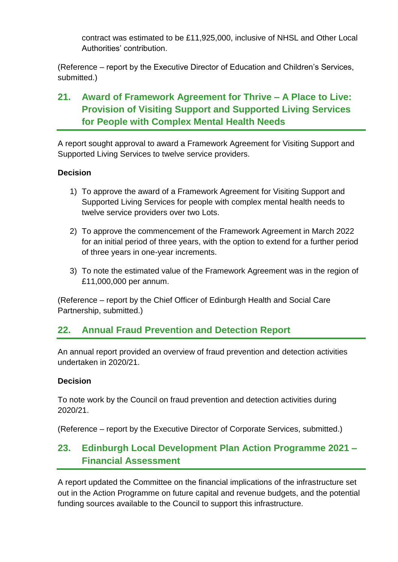contract was estimated to be £11,925,000, inclusive of NHSL and Other Local Authorities' contribution.

(Reference – report by the Executive Director of Education and Children's Services, submitted.)

### **21. Award of Framework Agreement for Thrive – A Place to Live: Provision of Visiting Support and Supported Living Services for People with Complex Mental Health Needs**

A report sought approval to award a Framework Agreement for Visiting Support and Supported Living Services to twelve service providers.

#### **Decision**

- 1) To approve the award of a Framework Agreement for Visiting Support and Supported Living Services for people with complex mental health needs to twelve service providers over two Lots.
- 2) To approve the commencement of the Framework Agreement in March 2022 for an initial period of three years, with the option to extend for a further period of three years in one-year increments.
- 3) To note the estimated value of the Framework Agreement was in the region of £11,000,000 per annum.

(Reference – report by the Chief Officer of Edinburgh Health and Social Care Partnership, submitted.)

### **22. Annual Fraud Prevention and Detection Report**

An annual report provided an overview of fraud prevention and detection activities undertaken in 2020/21.

#### **Decision**

To note work by the Council on fraud prevention and detection activities during 2020/21.

(Reference – report by the Executive Director of Corporate Services, submitted.)

### **23. Edinburgh Local Development Plan Action Programme 2021 – Financial Assessment**

A report updated the Committee on the financial implications of the infrastructure set out in the Action Programme on future capital and revenue budgets, and the potential funding sources available to the Council to support this infrastructure.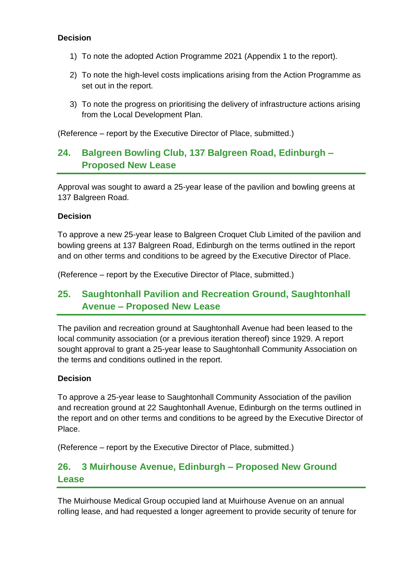#### **Decision**

- 1) To note the adopted Action Programme 2021 (Appendix 1 to the report).
- 2) To note the high-level costs implications arising from the Action Programme as set out in the report.
- 3) To note the progress on prioritising the delivery of infrastructure actions arising from the Local Development Plan.

(Reference – report by the Executive Director of Place, submitted.)

### **24. Balgreen Bowling Club, 137 Balgreen Road, Edinburgh – Proposed New Lease**

Approval was sought to award a 25-year lease of the pavilion and bowling greens at 137 Balgreen Road.

#### **Decision**

To approve a new 25-year lease to Balgreen Croquet Club Limited of the pavilion and bowling greens at 137 Balgreen Road, Edinburgh on the terms outlined in the report and on other terms and conditions to be agreed by the Executive Director of Place.

(Reference – report by the Executive Director of Place, submitted.)

### **25. Saughtonhall Pavilion and Recreation Ground, Saughtonhall Avenue – Proposed New Lease**

The pavilion and recreation ground at Saughtonhall Avenue had been leased to the local community association (or a previous iteration thereof) since 1929. A report sought approval to grant a 25-year lease to Saughtonhall Community Association on the terms and conditions outlined in the report.

#### **Decision**

To approve a 25-year lease to Saughtonhall Community Association of the pavilion and recreation ground at 22 Saughtonhall Avenue, Edinburgh on the terms outlined in the report and on other terms and conditions to be agreed by the Executive Director of Place.

(Reference – report by the Executive Director of Place, submitted.)

### **26. 3 Muirhouse Avenue, Edinburgh – Proposed New Ground Lease**

The Muirhouse Medical Group occupied land at Muirhouse Avenue on an annual rolling lease, and had requested a longer agreement to provide security of tenure for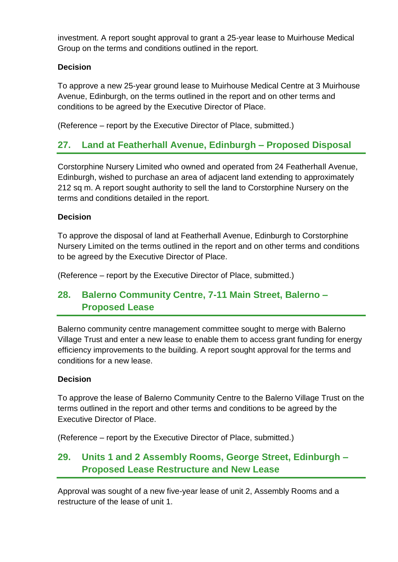investment. A report sought approval to grant a 25-year lease to Muirhouse Medical Group on the terms and conditions outlined in the report.

### **Decision**

To approve a new 25-year ground lease to Muirhouse Medical Centre at 3 Muirhouse Avenue, Edinburgh, on the terms outlined in the report and on other terms and conditions to be agreed by the Executive Director of Place.

(Reference – report by the Executive Director of Place, submitted.)

### **27. Land at Featherhall Avenue, Edinburgh – Proposed Disposal**

Corstorphine Nursery Limited who owned and operated from 24 Featherhall Avenue, Edinburgh, wished to purchase an area of adjacent land extending to approximately 212 sq m. A report sought authority to sell the land to Corstorphine Nursery on the terms and conditions detailed in the report.

#### **Decision**

To approve the disposal of land at Featherhall Avenue, Edinburgh to Corstorphine Nursery Limited on the terms outlined in the report and on other terms and conditions to be agreed by the Executive Director of Place.

(Reference – report by the Executive Director of Place, submitted.)

### **28. Balerno Community Centre, 7-11 Main Street, Balerno – Proposed Lease**

Balerno community centre management committee sought to merge with Balerno Village Trust and enter a new lease to enable them to access grant funding for energy efficiency improvements to the building. A report sought approval for the terms and conditions for a new lease.

#### **Decision**

To approve the lease of Balerno Community Centre to the Balerno Village Trust on the terms outlined in the report and other terms and conditions to be agreed by the Executive Director of Place.

(Reference – report by the Executive Director of Place, submitted.)

### **29. Units 1 and 2 Assembly Rooms, George Street, Edinburgh – Proposed Lease Restructure and New Lease**

Approval was sought of a new five-year lease of unit 2, Assembly Rooms and a restructure of the lease of unit 1.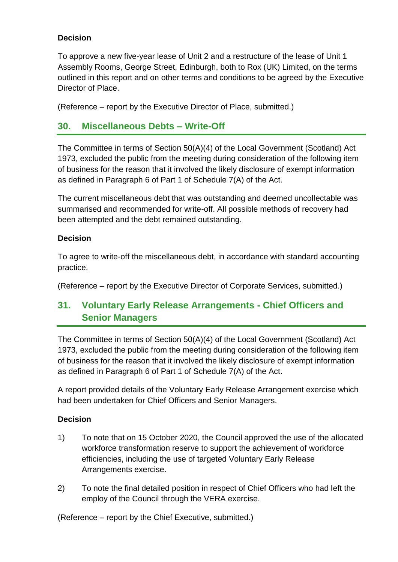#### **Decision**

To approve a new five-year lease of Unit 2 and a restructure of the lease of Unit 1 Assembly Rooms, George Street, Edinburgh, both to Rox (UK) Limited, on the terms outlined in this report and on other terms and conditions to be agreed by the Executive Director of Place.

(Reference – report by the Executive Director of Place, submitted.)

### **30. Miscellaneous Debts – Write-Off**

The Committee in terms of Section 50(A)(4) of the Local Government (Scotland) Act 1973, excluded the public from the meeting during consideration of the following item of business for the reason that it involved the likely disclosure of exempt information as defined in Paragraph 6 of Part 1 of Schedule 7(A) of the Act.

The current miscellaneous debt that was outstanding and deemed uncollectable was summarised and recommended for write-off. All possible methods of recovery had been attempted and the debt remained outstanding.

#### **Decision**

To agree to write-off the miscellaneous debt, in accordance with standard accounting practice.

(Reference – report by the Executive Director of Corporate Services, submitted.)

### **31. Voluntary Early Release Arrangements - Chief Officers and Senior Managers**

The Committee in terms of Section 50(A)(4) of the Local Government (Scotland) Act 1973, excluded the public from the meeting during consideration of the following item of business for the reason that it involved the likely disclosure of exempt information as defined in Paragraph 6 of Part 1 of Schedule 7(A) of the Act.

A report provided details of the Voluntary Early Release Arrangement exercise which had been undertaken for Chief Officers and Senior Managers.

#### **Decision**

- 1) To note that on 15 October 2020, the Council approved the use of the allocated workforce transformation reserve to support the achievement of workforce efficiencies, including the use of targeted Voluntary Early Release Arrangements exercise.
- 2) To note the final detailed position in respect of Chief Officers who had left the employ of the Council through the VERA exercise.

(Reference – report by the Chief Executive, submitted.)